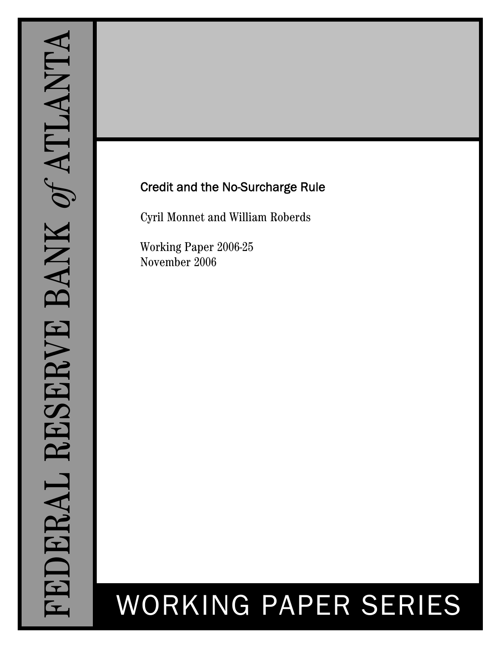## Credit and the No-Surcharge Rule

Cyril Monnet and William Roberds

Working Paper 2006-25 November 2006

# WORKING PAPER SERIES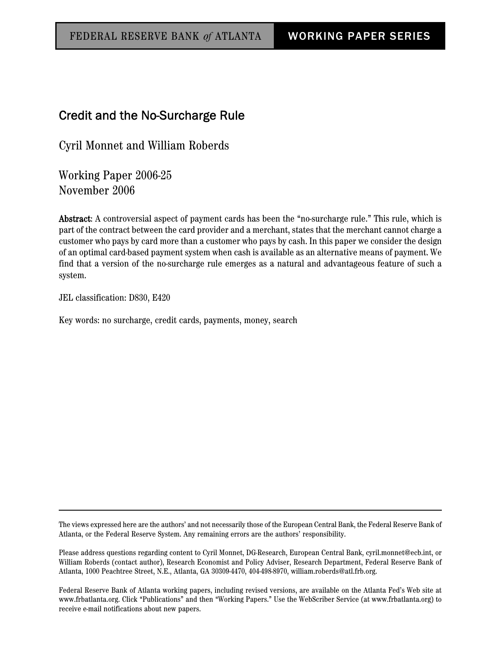## Credit and the No-Surcharge Rule

Cyril Monnet and William Roberds

Working Paper 2006-25 November 2006

Abstract: A controversial aspect of payment cards has been the "no-surcharge rule." This rule, which is part of the contract between the card provider and a merchant, states that the merchant cannot charge a customer who pays by card more than a customer who pays by cash. In this paper we consider the design of an optimal card-based payment system when cash is available as an alternative means of payment. We find that a version of the no-surcharge rule emerges as a natural and advantageous feature of such a system.

JEL classification: D830, E420

Key words: no surcharge, credit cards, payments, money, search

The views expressed here are the authors' and not necessarily those of the European Central Bank, the Federal Reserve Bank of Atlanta, or the Federal Reserve System. Any remaining errors are the authors' responsibility.

Please address questions regarding content to Cyril Monnet, DG-Research, European Central Bank, cyril.monnet@ecb.int, or William Roberds (contact author), Research Economist and Policy Adviser, Research Department, Federal Reserve Bank of Atlanta, 1000 Peachtree Street, N.E., Atlanta, GA 30309-4470, 404-498-8970, william.roberds@atl.frb.org.

Federal Reserve Bank of Atlanta working papers, including revised versions, are available on the Atlanta Fed's Web site at www.frbatlanta.org. Click "Publications" and then "Working Papers." Use the WebScriber Service (at www.frbatlanta.org) to receive e-mail notifications about new papers.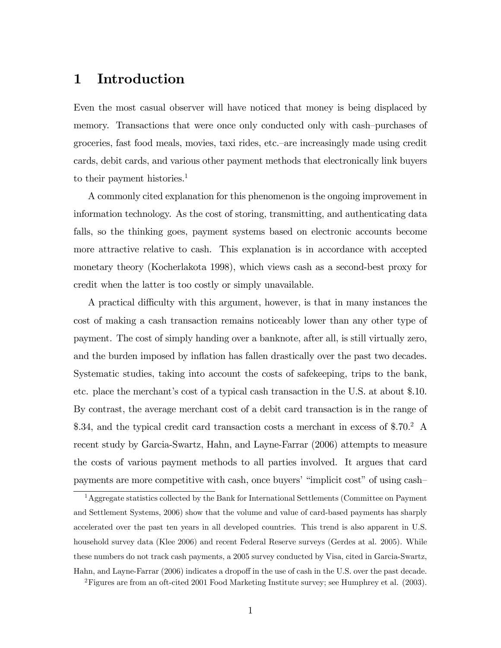## 1 Introduction

Even the most casual observer will have noticed that money is being displaced by memory. Transactions that were once only conducted only with cash-purchases of groceries, fast food meals, movies, taxi rides, etc.—are increasingly made using credit cards, debit cards, and various other payment methods that electronically link buyers to their payment histories.<sup>1</sup>

A commonly cited explanation for this phenomenon is the ongoing improvement in information technology. As the cost of storing, transmitting, and authenticating data falls, so the thinking goes, payment systems based on electronic accounts become more attractive relative to cash. This explanation is in accordance with accepted monetary theory (Kocherlakota 1998), which views cash as a second-best proxy for credit when the latter is too costly or simply unavailable.

A practical difficulty with this argument, however, is that in many instances the cost of making a cash transaction remains noticeably lower than any other type of payment. The cost of simply handing over a banknote, after all, is still virtually zero, and the burden imposed by inflation has fallen drastically over the past two decades. Systematic studies, taking into account the costs of safekeeping, trips to the bank, etc. place the merchant's cost of a typical cash transaction in the U.S. at about \$.10. By contrast, the average merchant cost of a debit card transaction is in the range of \$.34, and the typical credit card transaction costs a merchant in excess of \$.70.<sup>2</sup> A recent study by Garcia-Swartz, Hahn, and Layne-Farrar (2006) attempts to measure the costs of various payment methods to all parties involved. It argues that card payments are more competitive with cash, once buyers' "implicit cost" of using cash-

<sup>&</sup>lt;sup>1</sup> Aggregate statistics collected by the Bank for International Settlements (Committee on Payment and Settlement Systems, 2006) show that the volume and value of card-based payments has sharply accelerated over the past ten years in all developed countries. This trend is also apparent in U.S. household survey data (Klee 2006) and recent Federal Reserve surveys (Gerdes at al. 2005). While these numbers do not track cash payments, a 2005 survey conducted by Visa, cited in Garcia-Swartz, Hahn, and Layne-Farrar (2006) indicates a dropoff in the use of cash in the U.S. over the past decade.

<sup>2</sup>Figures are from an oft-cited 2001 Food Marketing Institute survey; see Humphrey et al. (2003).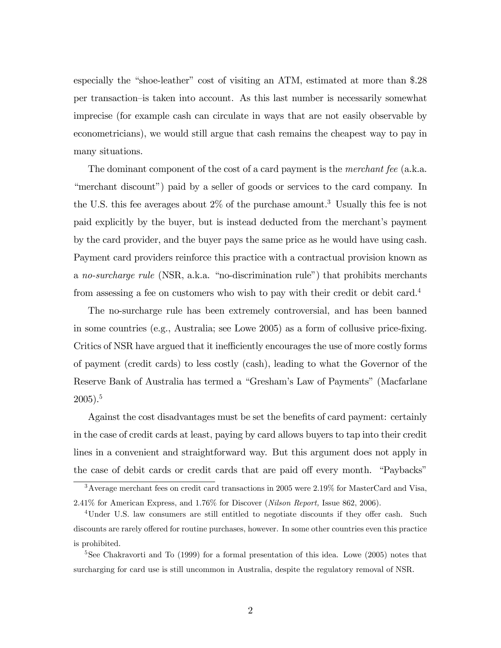especially the "shoe-leather" cost of visiting an ATM, estimated at more than  $\$$ .28 per transaction–is taken into account. As this last number is necessarily somewhat imprecise (for example cash can circulate in ways that are not easily observable by econometricians), we would still argue that cash remains the cheapest way to pay in many situations.

The dominant component of the cost of a card payment is the *merchant fee* (a.k.a. "merchant discount") paid by a seller of goods or services to the card company. In the U.S. this fee averages about  $2\%$  of the purchase amount.<sup>3</sup> Usually this fee is not paid explicitly by the buyer, but is instead deducted from the merchant's payment by the card provider, and the buyer pays the same price as he would have using cash. Payment card providers reinforce this practice with a contractual provision known as a no-surcharge rule (NSR, a.k.a. "no-discrimination rule") that prohibits merchants from assessing a fee on customers who wish to pay with their credit or debit card.<sup>4</sup>

The no-surcharge rule has been extremely controversial, and has been banned in some countries (e.g., Australia; see Lowe 2005) as a form of collusive price-fixing. Critics of NSR have argued that it inefficiently encourages the use of more costly forms of payment (credit cards) to less costly (cash), leading to what the Governor of the Reserve Bank of Australia has termed a "Gresham's Law of Payments" (Macfarlane  $2005$ ).<sup>5</sup>

Against the cost disadvantages must be set the benefits of card payment: certainly in the case of credit cards at least, paying by card allows buyers to tap into their credit lines in a convenient and straightforward way. But this argument does not apply in the case of debit cards or credit cards that are paid off every month. "Paybacks"

<sup>3</sup>Average merchant fees on credit card transactions in 2005 were 2.19% for MasterCard and Visa, 2.41% for American Express, and 1.76% for Discover (Nilson Report, Issue 862, 2006).

 $4$ Under U.S. law consumers are still entitled to negotiate discounts if they offer cash. Such discounts are rarely offered for routine purchases, however. In some other countries even this practice is prohibited.

<sup>&</sup>lt;sup>5</sup>See Chakravorti and To (1999) for a formal presentation of this idea. Lowe (2005) notes that surcharging for card use is still uncommon in Australia, despite the regulatory removal of NSR.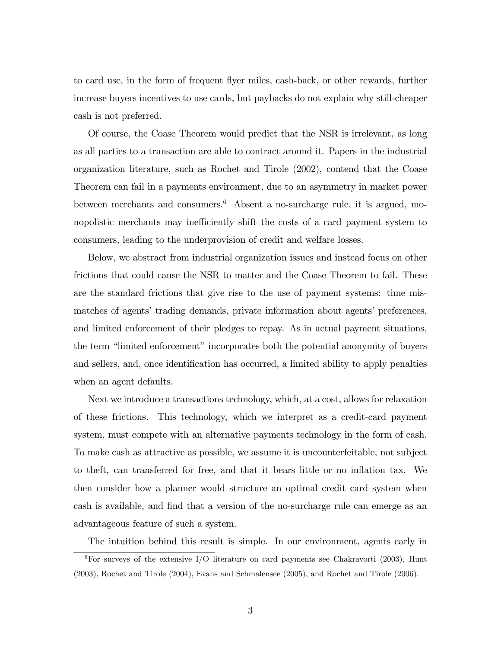to card use, in the form of frequent áyer miles, cash-back, or other rewards, further increase buyers incentives to use cards, but paybacks do not explain why still-cheaper cash is not preferred.

Of course, the Coase Theorem would predict that the NSR is irrelevant, as long as all parties to a transaction are able to contract around it. Papers in the industrial organization literature, such as Rochet and Tirole (2002), contend that the Coase Theorem can fail in a payments environment, due to an asymmetry in market power between merchants and consumers.<sup>6</sup> Absent a no-surcharge rule, it is argued, monopolistic merchants may inefficiently shift the costs of a card payment system to consumers, leading to the underprovision of credit and welfare losses.

Below, we abstract from industrial organization issues and instead focus on other frictions that could cause the NSR to matter and the Coase Theorem to fail. These are the standard frictions that give rise to the use of payment systems: time mismatches of agents' trading demands, private information about agents' preferences, and limited enforcement of their pledges to repay. As in actual payment situations, the term "limited enforcement" incorporates both the potential anonymity of buyers and sellers, and, once identification has occurred, a limited ability to apply penalties when an agent defaults.

Next we introduce a transactions technology, which, at a cost, allows for relaxation of these frictions. This technology, which we interpret as a credit-card payment system, must compete with an alternative payments technology in the form of cash. To make cash as attractive as possible, we assume it is uncounterfeitable, not subject to theft, can transferred for free, and that it bears little or no ináation tax. We then consider how a planner would structure an optimal credit card system when cash is available, and Önd that a version of the no-surcharge rule can emerge as an advantageous feature of such a system.

The intuition behind this result is simple. In our environment, agents early in  ${}^{6}$ For surveys of the extensive I/O literature on card payments see Chakravorti (2003), Hunt (2003), Rochet and Tirole (2004), Evans and Schmalensee (2005), and Rochet and Tirole (2006).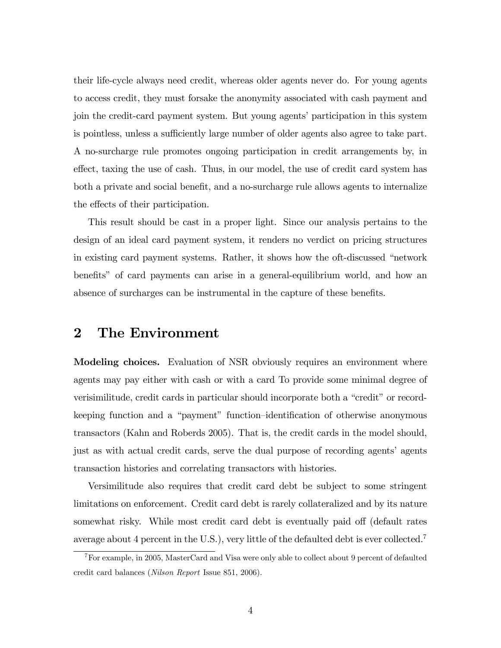their life-cycle always need credit, whereas older agents never do. For young agents to access credit, they must forsake the anonymity associated with cash payment and join the credit-card payment system. But young agentsíparticipation in this system is pointless, unless a sufficiently large number of older agents also agree to take part. A no-surcharge rule promotes ongoing participation in credit arrangements by, in effect, taxing the use of cash. Thus, in our model, the use of credit card system has both a private and social benefit, and a no-surcharge rule allows agents to internalize the effects of their participation.

This result should be cast in a proper light. Since our analysis pertains to the design of an ideal card payment system, it renders no verdict on pricing structures in existing card payment systems. Rather, it shows how the oft-discussed "network" benefits" of card payments can arise in a general-equilibrium world, and how an absence of surcharges can be instrumental in the capture of these benefits.

#### 2 The Environment

**Modeling choices.** Evaluation of NSR obviously requires an environment where agents may pay either with cash or with a card To provide some minimal degree of verisimilitude, credit cards in particular should incorporate both a "credit" or recordkeeping function and a "payment" function-identification of otherwise anonymous transactors (Kahn and Roberds 2005). That is, the credit cards in the model should, just as with actual credit cards, serve the dual purpose of recording agents' agents transaction histories and correlating transactors with histories.

Versimilitude also requires that credit card debt be subject to some stringent limitations on enforcement. Credit card debt is rarely collateralized and by its nature somewhat risky. While most credit card debt is eventually paid off (default rates average about 4 percent in the U.S.), very little of the defaulted debt is ever collected.<sup>7</sup>

<sup>&</sup>lt;sup>7</sup>For example, in 2005, MasterCard and Visa were only able to collect about 9 percent of defaulted credit card balances (Nilson Report Issue 851, 2006).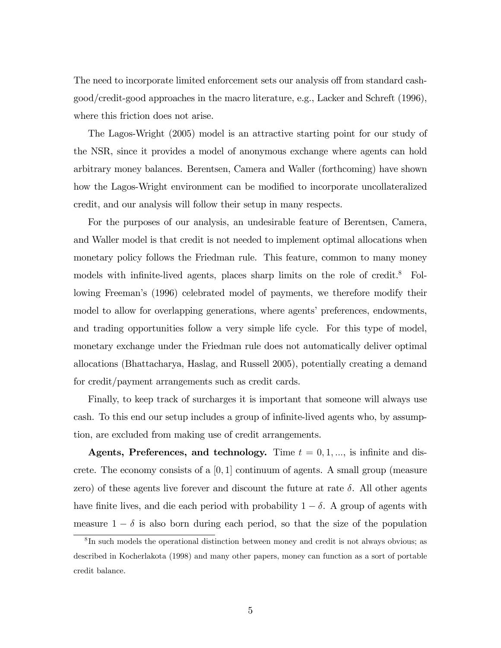The need to incorporate limited enforcement sets our analysis off from standard cashgood/credit-good approaches in the macro literature, e.g., Lacker and Schreft (1996), where this friction does not arise.

The Lagos-Wright (2005) model is an attractive starting point for our study of the NSR, since it provides a model of anonymous exchange where agents can hold arbitrary money balances. Berentsen, Camera and Waller (forthcoming) have shown how the Lagos-Wright environment can be modified to incorporate uncollateralized credit, and our analysis will follow their setup in many respects.

For the purposes of our analysis, an undesirable feature of Berentsen, Camera, and Waller model is that credit is not needed to implement optimal allocations when monetary policy follows the Friedman rule. This feature, common to many money models with infinite-lived agents, places sharp limits on the role of credit.<sup>8</sup> Following Freeman's (1996) celebrated model of payments, we therefore modify their model to allow for overlapping generations, where agents' preferences, endowments, and trading opportunities follow a very simple life cycle. For this type of model, monetary exchange under the Friedman rule does not automatically deliver optimal allocations (Bhattacharya, Haslag, and Russell 2005), potentially creating a demand for credit/payment arrangements such as credit cards.

Finally, to keep track of surcharges it is important that someone will always use cash. To this end our setup includes a group of infinite-lived agents who, by assumption, are excluded from making use of credit arrangements.

**Agents, Preferences, and technology.** Time  $t = 0, 1, \dots$ , is infinite and discrete. The economy consists of a  $[0,1]$  continuum of agents. A small group (measure zero) of these agents live forever and discount the future at rate  $\delta$ . All other agents have finite lives, and die each period with probability  $1 - \delta$ . A group of agents with measure  $1 - \delta$  is also born during each period, so that the size of the population

<sup>&</sup>lt;sup>8</sup>In such models the operational distinction between money and credit is not always obvious; as described in Kocherlakota (1998) and many other papers, money can function as a sort of portable credit balance.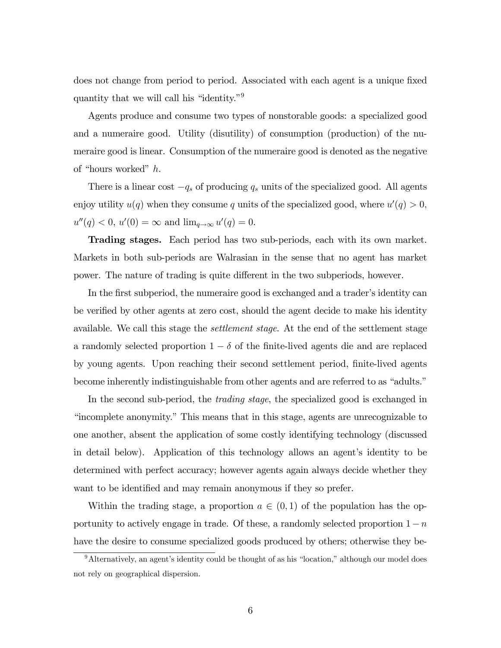does not change from period to period. Associated with each agent is a unique fixed quantity that we will call his "identity."<sup>9</sup>

Agents produce and consume two types of nonstorable goods: a specialized good and a numeraire good. Utility (disutility) of consumption (production) of the numeraire good is linear. Consumption of the numeraire good is denoted as the negative of "hours worked"  $h$ .

There is a linear cost  $-q_s$  of producing  $q_s$  units of the specialized good. All agents enjoy utility  $u(q)$  when they consume q units of the specialized good, where  $u'(q) > 0$ ,  $u''(q) < 0, u'(0) = \infty \text{ and } \lim_{q \to \infty} u'(q) = 0.$ 

Trading stages. Each period has two sub-periods, each with its own market. Markets in both sub-periods are Walrasian in the sense that no agent has market power. The nature of trading is quite different in the two subperiods, however.

In the first subperiod, the numeraire good is exchanged and a trader's identity can be verified by other agents at zero cost, should the agent decide to make his identity available. We call this stage the settlement stage. At the end of the settlement stage a randomly selected proportion  $1 - \delta$  of the finite-lived agents die and are replaced by young agents. Upon reaching their second settlement period, finite-lived agents become inherently indistinguishable from other agents and are referred to as "adults."

In the second sub-period, the trading stage, the specialized good is exchanged in incomplete anonymity." This means that in this stage, agents are unrecognizable to one another, absent the application of some costly identifying technology (discussed in detail below). Application of this technology allows an agent's identity to be determined with perfect accuracy; however agents again always decide whether they want to be identified and may remain anonymous if they so prefer.

Within the trading stage, a proportion  $a \in (0,1)$  of the population has the opportunity to actively engage in trade. Of these, a randomly selected proportion  $1-n$ have the desire to consume specialized goods produced by others; otherwise they be-

 $9$ Alternatively, an agent's identity could be thought of as his "location," although our model does not rely on geographical dispersion.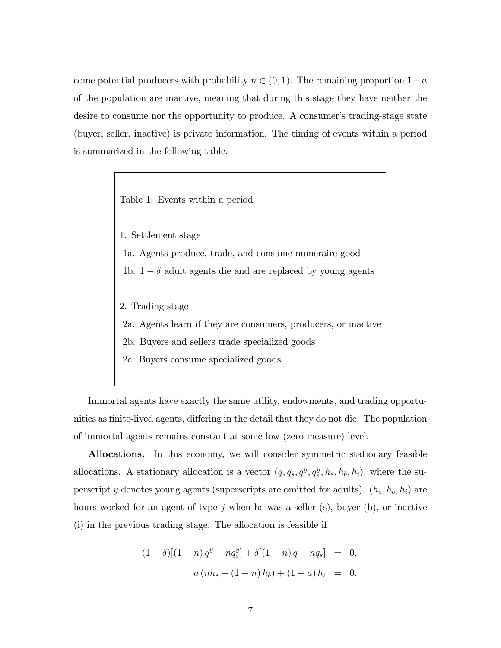come potential producers with probability  $n \in (0, 1)$ . The remaining proportion  $1-a$ of the population are inactive, meaning that during this stage they have neither the desire to consume nor the opportunity to produce. A consumer's trading-stage state (buyer, seller, inactive) is private information. The timing of events within a period is summarized in the following table.

Table 1: Events within a period

1. Settlement stage

1a. Agents produce, trade, and consume numeraire good

1b.  $1 - \delta$  adult agents die and are replaced by young agents

- 2. Trading stage
- 2a. Agents learn if they are consumers, producers, or inactive
- 2b. Buyers and sellers trade specialized goods
- 2c. Buyers consume specialized goods

Immortal agents have exactly the same utility, endowments, and trading opportunities as finite-lived agents, differing in the detail that they do not die. The population of immortal agents remains constant at some low (zero measure) level.

Allocations. In this economy, we will consider symmetric stationary feasible allocations. A stationary allocation is a vector  $(q, q_s, q^y, q_s^y, h_s, h_b, h_i)$ , where the superscript y denotes young agents (superscripts are omitted for adults).  $(h_s, h_b, h_i)$  are hours worked for an agent of type  $j$  when he was a seller (s), buyer (b), or inactive (i) in the previous trading stage. The allocation is feasible if

$$
(1 - \delta)[(1 - n)q^{y} - nq_s^{y}] + \delta[(1 - n)q - nq_s] = 0,
$$
  

$$
a(nh_s + (1 - n)h_b) + (1 - a)h_i = 0.
$$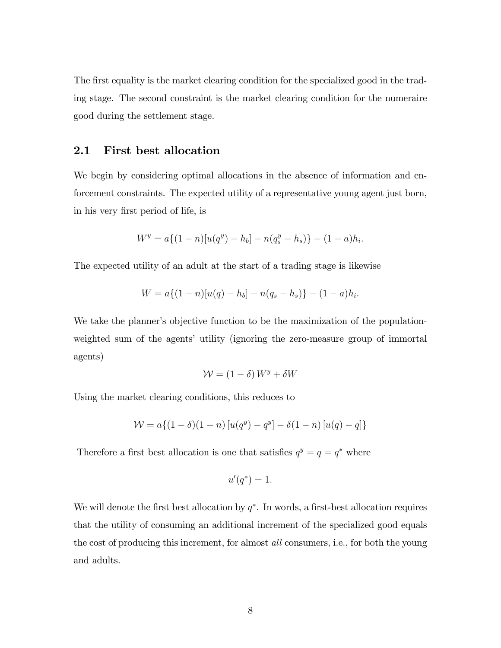The first equality is the market clearing condition for the specialized good in the trading stage. The second constraint is the market clearing condition for the numeraire good during the settlement stage.

#### 2.1 First best allocation

We begin by considering optimal allocations in the absence of information and enforcement constraints. The expected utility of a representative young agent just born, in his very first period of life, is

$$
W^y = a\{(1-n)[u(q^y) - h_b] - n(q_s^y - h_s)\} - (1-a)h_i.
$$

The expected utility of an adult at the start of a trading stage is likewise

$$
W = a\{(1-n)[u(q) - h_b] - n(q_s - h_s)\} - (1-a)h_i.
$$

We take the planner's objective function to be the maximization of the populationweighted sum of the agents' utility (ignoring the zero-measure group of immortal agents)

$$
\mathcal{W} = (1 - \delta) W^y + \delta W
$$

Using the market clearing conditions, this reduces to

$$
W = a\{(1 - \delta)(1 - n) [u(q^{y}) - q^{y}] - \delta(1 - n) [u(q) - q]\}
$$

Therefore a first best allocation is one that satisfies  $q^y = q = q^*$  where

$$
u'(q^*)=1.
$$

We will denote the first best allocation by  $q^*$ . In words, a first-best allocation requires that the utility of consuming an additional increment of the specialized good equals the cost of producing this increment, for almost all consumers, i.e., for both the young and adults.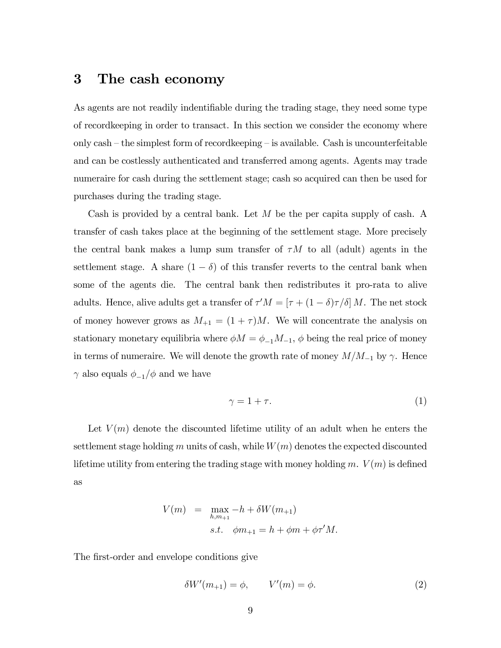## 3 The cash economy

As agents are not readily indentifiable during the trading stage, they need some type of recordkeeping in order to transact. In this section we consider the economy where only cash  $-$  the simplest form of recordkeeping  $-$  is available. Cash is uncounterfeitable and can be costlessly authenticated and transferred among agents. Agents may trade numeraire for cash during the settlement stage; cash so acquired can then be used for purchases during the trading stage.

Cash is provided by a central bank. Let  $M$  be the per capita supply of cash. A transfer of cash takes place at the beginning of the settlement stage. More precisely the central bank makes a lump sum transfer of  $\tau M$  to all (adult) agents in the settlement stage. A share  $(1 - \delta)$  of this transfer reverts to the central bank when some of the agents die. The central bank then redistributes it pro-rata to alive adults. Hence, alive adults get a transfer of  $\tau' M = [\tau + (1 - \delta)\tau/\delta] M$ . The net stock of money however grows as  $M_{+1} = (1 + \tau)M$ . We will concentrate the analysis on stationary monetary equilibria where  $\phi M = \phi_{-1} M_{-1}$ ,  $\phi$  being the real price of money in terms of numeraire. We will denote the growth rate of money  $M/M_{-1}$  by  $\gamma$ . Hence  $\gamma$  also equals  $\phi_{-1}/\phi$  and we have

$$
\gamma = 1 + \tau. \tag{1}
$$

Let  $V(m)$  denote the discounted lifetime utility of an adult when he enters the settlement stage holding m units of cash, while  $W(m)$  denotes the expected discounted lifetime utility from entering the trading stage with money holding m.  $V(m)$  is defined as

$$
V(m) = \max_{h,m+1} -h + \delta W(m+1)
$$
  
s.t.  $\phi m_{+1} = h + \phi m + \phi \tau' M$ .

The first-order and envelope conditions give

$$
\delta W'(m_{+1}) = \phi, \qquad V'(m) = \phi. \tag{2}
$$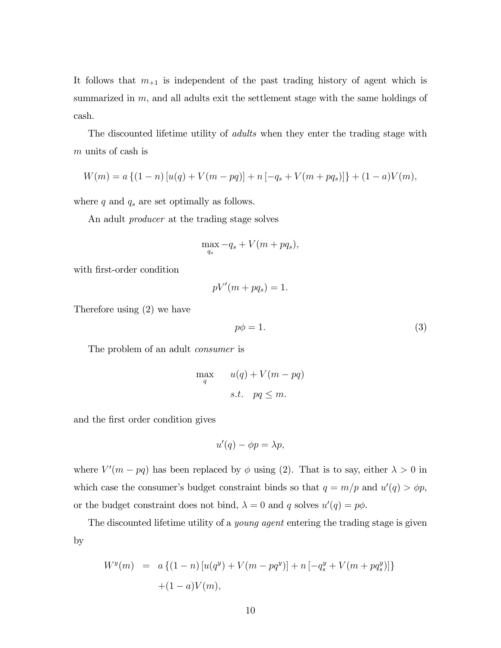It follows that  $m_{+1}$  is independent of the past trading history of agent which is summarized in  $m$ , and all adults exit the settlement stage with the same holdings of cash.

The discounted lifetime utility of *adults* when they enter the trading stage with m units of cash is

$$
W(m) = a \{ (1 - n) [u(q) + V(m - pq)] + n [-q_s + V(m + pq_s)] \} + (1 - a)V(m),
$$

where  $q$  and  $q_s$  are set optimally as follows.

An adult producer at the trading stage solves

$$
\max_{q_s} -q_s + V(m + pq_s),
$$

with first-order condition

$$
pV'(m + pq_s) = 1.
$$

Therefore using (2) we have

$$
p\phi = 1.\t\t(3)
$$

The problem of an adult *consumer* is

$$
\max_{q} \qquad u(q) + V(m - pq)
$$
  
s.t.  $pq \le m$ .

and the first order condition gives

$$
u'(q) - \phi p = \lambda p,
$$

where  $V'(m - pq)$  has been replaced by  $\phi$  using (2). That is to say, either  $\lambda > 0$  in which case the consumer's budget constraint binds so that  $q = m/p$  and  $u'(q) > \phi p$ , or the budget constraint does not bind,  $\lambda = 0$  and q solves  $u'(q) = p\phi$ .

The discounted lifetime utility of a *young agent* entering the trading stage is given by

$$
W^{y}(m) = a \{ (1 - n) [u(q^{y}) + V(m - pq^{y})] + n [-q^{y}_{s} + V(m + pq^{y}_{s})] \}
$$

$$
+ (1 - a)V(m),
$$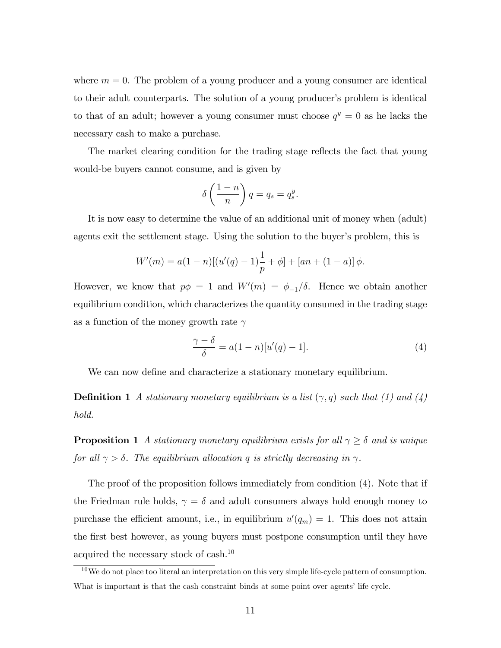where  $m = 0$ . The problem of a young producer and a young consumer are identical to their adult counterparts. The solution of a young producer's problem is identical to that of an adult; however a young consumer must choose  $q^y = 0$  as he lacks the necessary cash to make a purchase.

The market clearing condition for the trading stage reflects the fact that young would-be buyers cannot consume, and is given by

$$
\delta\left(\frac{1-n}{n}\right)q=q_s=q_s^y.
$$

It is now easy to determine the value of an additional unit of money when (adult) agents exit the settlement stage. Using the solution to the buyer's problem, this is

$$
W'(m) = a(1 - n)[(u'(q) - 1)\frac{1}{p} + \phi] + [an + (1 - a)]\phi.
$$

However, we know that  $p\phi = 1$  and  $W'(m) = \phi_{-1}/\delta$ . Hence we obtain another equilibrium condition, which characterizes the quantity consumed in the trading stage as a function of the money growth rate  $\gamma$ 

$$
\frac{\gamma - \delta}{\delta} = a(1 - n)[u'(q) - 1].\tag{4}
$$

We can now define and characterize a stationary monetary equilibrium.

**Definition 1** A stationary monetary equilibrium is a list  $(\gamma, q)$  such that (1) and (4) hold.

**Proposition 1** A stationary monetary equilibrium exists for all  $\gamma \geq \delta$  and is unique for all  $\gamma > \delta$ . The equilibrium allocation q is strictly decreasing in  $\gamma$ .

The proof of the proposition follows immediately from condition (4). Note that if the Friedman rule holds,  $\gamma = \delta$  and adult consumers always hold enough money to purchase the efficient amount, i.e., in equilibrium  $u'(q_m) = 1$ . This does not attain the first best however, as young buyers must postpone consumption until they have acquired the necessary stock of cash.<sup>10</sup>

 $10$ We do not place too literal an interpretation on this very simple life-cycle pattern of consumption. What is important is that the cash constraint binds at some point over agents' life cycle.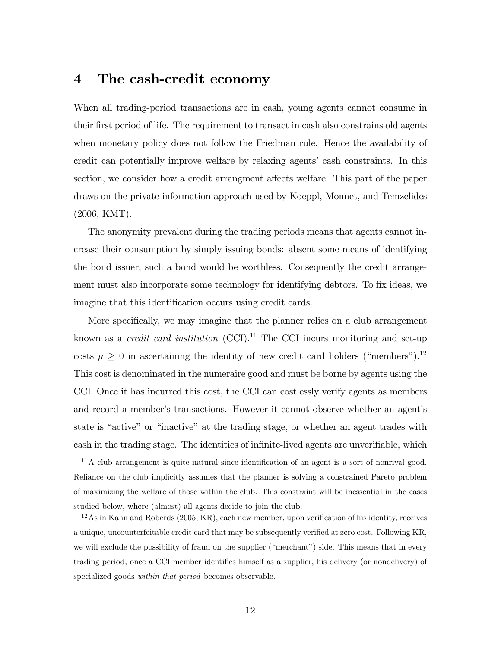## 4 The cash-credit economy

When all trading-period transactions are in cash, young agents cannot consume in their first period of life. The requirement to transact in cash also constrains old agents when monetary policy does not follow the Friedman rule. Hence the availability of credit can potentially improve welfare by relaxing agents' cash constraints. In this section, we consider how a credit arrangment affects welfare. This part of the paper draws on the private information approach used by Koeppl, Monnet, and Temzelides (2006, KMT).

The anonymity prevalent during the trading periods means that agents cannot increase their consumption by simply issuing bonds: absent some means of identifying the bond issuer, such a bond would be worthless. Consequently the credit arrangement must also incorporate some technology for identifying debtors. To fix ideas, we imagine that this identification occurs using credit cards.

More specifically, we may imagine that the planner relies on a club arrangement known as a *credit card institution*  $(CCI)^{11}$  The CCI incurs monitoring and set-up costs  $\mu \geq 0$  in ascertaining the identity of new credit card holders ("members").<sup>12</sup> This cost is denominated in the numeraire good and must be borne by agents using the CCI. Once it has incurred this cost, the CCI can costlessly verify agents as members and record a member's transactions. However it cannot observe whether an agent's state is "active" or "inactive" at the trading stage, or whether an agent trades with cash in the trading stage. The identities of infinite-lived agents are unverifiable, which

 $11A$  club arrangement is quite natural since identification of an agent is a sort of nonrival good. Reliance on the club implicitly assumes that the planner is solving a constrained Pareto problem of maximizing the welfare of those within the club. This constraint will be inessential in the cases studied below, where (almost) all agents decide to join the club.

 $12$ As in Kahn and Roberds (2005, KR), each new member, upon verification of his identity, receives a unique, uncounterfeitable credit card that may be subsequently verified at zero cost. Following KR, we will exclude the possibility of fraud on the supplier ("merchant") side. This means that in every trading period, once a CCI member identifies himself as a supplier, his delivery (or nondelivery) of specialized goods *within that period* becomes observable.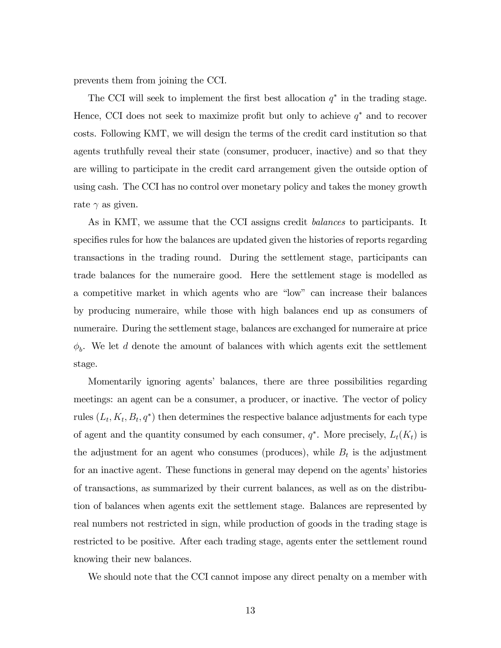prevents them from joining the CCI.

The CCI will seek to implement the first best allocation  $q^*$  in the trading stage. Hence, CCI does not seek to maximize profit but only to achieve  $q^*$  and to recover costs. Following KMT, we will design the terms of the credit card institution so that agents truthfully reveal their state (consumer, producer, inactive) and so that they are willing to participate in the credit card arrangement given the outside option of using cash. The CCI has no control over monetary policy and takes the money growth rate  $\gamma$  as given.

As in KMT, we assume that the CCI assigns credit *balances* to participants. It specifies rules for how the balances are updated given the histories of reports regarding transactions in the trading round. During the settlement stage, participants can trade balances for the numeraire good. Here the settlement stage is modelled as a competitive market in which agents who are "low" can increase their balances by producing numeraire, while those with high balances end up as consumers of numeraire. During the settlement stage, balances are exchanged for numeraire at price  $\phi_b$ . We let d denote the amount of balances with which agents exit the settlement stage.

Momentarily ignoring agents' balances, there are three possibilities regarding meetings: an agent can be a consumer, a producer, or inactive. The vector of policy rules  $(L_t, K_t, B_t, q^*)$  then determines the respective balance adjustments for each type of agent and the quantity consumed by each consumer,  $q^*$ . More precisely,  $L_t(K_t)$  is the adjustment for an agent who consumes (produces), while  $B_t$  is the adjustment for an inactive agent. These functions in general may depend on the agents' histories of transactions, as summarized by their current balances, as well as on the distribution of balances when agents exit the settlement stage. Balances are represented by real numbers not restricted in sign, while production of goods in the trading stage is restricted to be positive. After each trading stage, agents enter the settlement round knowing their new balances.

We should note that the CCI cannot impose any direct penalty on a member with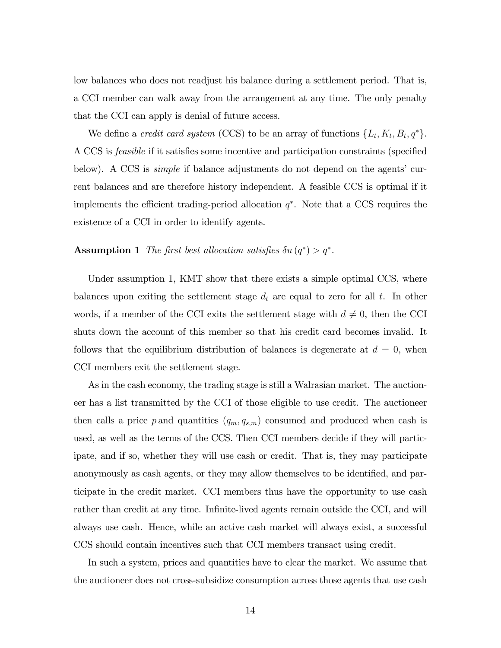low balances who does not readjust his balance during a settlement period. That is, a CCI member can walk away from the arrangement at any time. The only penalty that the CCI can apply is denial of future access.

We define a *credit card system* (CCS) to be an array of functions  $\{L_t, K_t, B_t, q^*\}.$ A CCS is *feasible* if it satisfies some incentive and participation constraints (specified below). A CCS is *simple* if balance adjustments do not depend on the agents' current balances and are therefore history independent. A feasible CCS is optimal if it implements the efficient trading-period allocation  $q^*$ . Note that a CCS requires the existence of a CCI in order to identify agents.

#### **Assumption 1** The first best allocation satisfies  $\delta u(q^*) > q^*$ .

Under assumption 1, KMT show that there exists a simple optimal CCS, where balances upon exiting the settlement stage  $d_t$  are equal to zero for all t. In other words, if a member of the CCI exits the settlement stage with  $d \neq 0$ , then the CCI shuts down the account of this member so that his credit card becomes invalid. It follows that the equilibrium distribution of balances is degenerate at  $d = 0$ , when CCI members exit the settlement stage.

As in the cash economy, the trading stage is still a Walrasian market. The auctioneer has a list transmitted by the CCI of those eligible to use credit. The auctioneer then calls a price p and quantities  $(q_m, q_{s,m})$  consumed and produced when cash is used, as well as the terms of the CCS. Then CCI members decide if they will participate, and if so, whether they will use cash or credit. That is, they may participate anonymously as cash agents, or they may allow themselves to be identified, and participate in the credit market. CCI members thus have the opportunity to use cash rather than credit at any time. Infinite-lived agents remain outside the CCI, and will always use cash. Hence, while an active cash market will always exist, a successful CCS should contain incentives such that CCI members transact using credit.

In such a system, prices and quantities have to clear the market. We assume that the auctioneer does not cross-subsidize consumption across those agents that use cash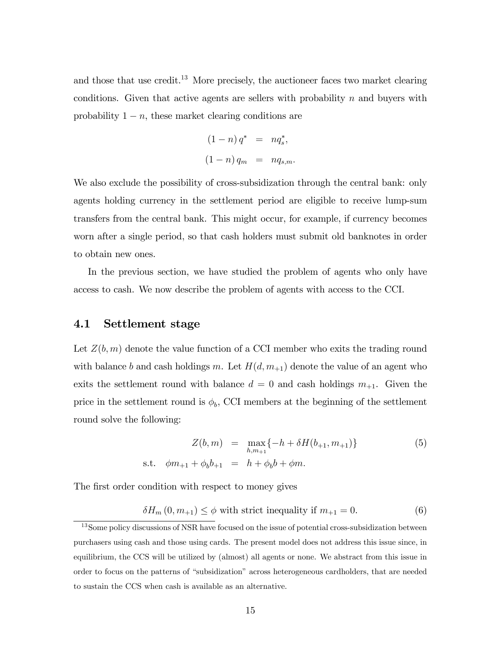and those that use credit.<sup>13</sup> More precisely, the auctioneer faces two market clearing conditions. Given that active agents are sellers with probability  $n$  and buyers with probability  $1 - n$ , these market clearing conditions are

$$
(1 - n) q^* = n q_s^*,
$$
  

$$
(1 - n) q_m = n q_{s,m}.
$$

We also exclude the possibility of cross-subsidization through the central bank: only agents holding currency in the settlement period are eligible to receive lump-sum transfers from the central bank. This might occur, for example, if currency becomes worn after a single period, so that cash holders must submit old banknotes in order to obtain new ones.

In the previous section, we have studied the problem of agents who only have access to cash. We now describe the problem of agents with access to the CCI.

#### 4.1 Settlement stage

Let  $Z(b,m)$  denote the value function of a CCI member who exits the trading round with balance b and cash holdings m. Let  $H(d, m<sub>+1</sub>)$  denote the value of an agent who exits the settlement round with balance  $d = 0$  and cash holdings  $m_{+1}$ . Given the price in the settlement round is  $\phi_b$ , CCI members at the beginning of the settlement round solve the following:

$$
Z(b,m) = \max_{h,m+1} \{-h + \delta H(b_{+1}, m_{+1})\}
$$
(5)  
s.t.  $\phi m_{+1} + \phi_b b_{+1} = h + \phi_b b + \phi m$ .

The first order condition with respect to money gives

$$
\delta H_m(0, m_{+1}) \le \phi \text{ with strict inequality if } m_{+1} = 0. \tag{6}
$$

<sup>&</sup>lt;sup>13</sup>Some policy discussions of NSR have focused on the issue of potential cross-subsidization between purchasers using cash and those using cards. The present model does not address this issue since, in equilibrium, the CCS will be utilized by (almost) all agents or none. We abstract from this issue in order to focus on the patterns of "subsidization" across heterogeneous cardholders, that are needed to sustain the CCS when cash is available as an alternative.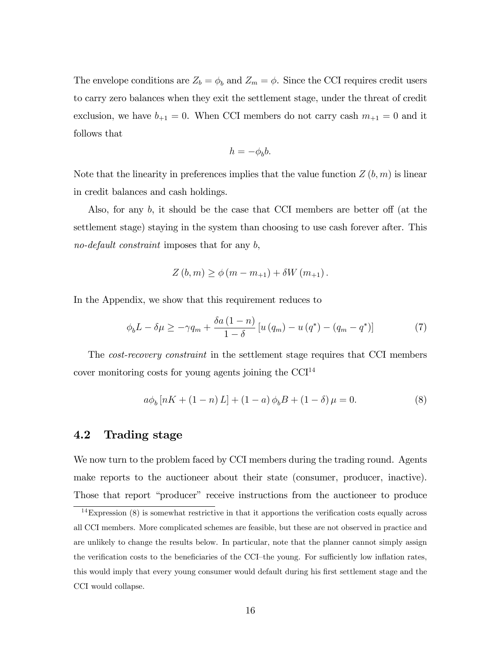The envelope conditions are  $Z_b = \phi_b$  and  $Z_m = \phi$ . Since the CCI requires credit users to carry zero balances when they exit the settlement stage, under the threat of credit exclusion, we have  $b_{+1} = 0$ . When CCI members do not carry cash  $m_{+1} = 0$  and it follows that

$$
h = -\phi_b b.
$$

Note that the linearity in preferences implies that the value function  $Z(b, m)$  is linear in credit balances and cash holdings.

Also, for any  $b$ , it should be the case that CCI members are better off (at the settlement stage) staying in the system than choosing to use cash forever after. This no-default constraint imposes that for any b,

$$
Z(b, m) \ge \phi(m - m_{+1}) + \delta W(m_{+1}).
$$

In the Appendix, we show that this requirement reduces to

$$
\phi_b L - \delta \mu \ge -\gamma q_m + \frac{\delta a \left(1 - n\right)}{1 - \delta} \left[ u \left( q_m \right) - u \left( q^* \right) - \left( q_m - q^* \right) \right] \tag{7}
$$

The cost-recovery constraint in the settlement stage requires that CCI members cover monitoring costs for young agents joining the  $CCI<sup>14</sup>$ 

$$
a\phi_b[nK + (1 - n)L] + (1 - a)\phi_bB + (1 - \delta)\mu = 0.
$$
 (8)

#### 4.2 Trading stage

We now turn to the problem faced by CCI members during the trading round. Agents make reports to the auctioneer about their state (consumer, producer, inactive). Those that report "producer" receive instructions from the auctioneer to produce

 $14$ Expression (8) is somewhat restrictive in that it apportions the verification costs equally across all CCI members. More complicated schemes are feasible, but these are not observed in practice and are unlikely to change the results below. In particular, note that the planner cannot simply assign the verification costs to the beneficiaries of the CCI-the young. For sufficiently low inflation rates, this would imply that every young consumer would default during his first settlement stage and the CCI would collapse.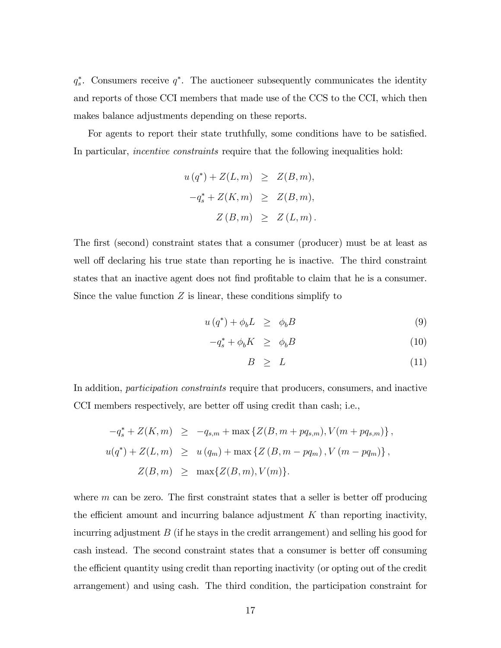$q_s^*$ . Consumers receive  $q^*$ . The auctioneer subsequently communicates the identity and reports of those CCI members that made use of the CCS to the CCI, which then makes balance adjustments depending on these reports.

For agents to report their state truthfully, some conditions have to be satisfied. In particular, *incentive constraints* require that the following inequalities hold:

$$
u(q^*) + Z(L,m) \geq Z(B,m),
$$
  

$$
-q_s^* + Z(K,m) \geq Z(B,m),
$$
  

$$
Z(B,m) \geq Z(L,m).
$$

The first (second) constraint states that a consumer (producer) must be at least as well off declaring his true state than reporting he is inactive. The third constraint states that an inactive agent does not find profitable to claim that he is a consumer. Since the value function  $Z$  is linear, these conditions simplify to

$$
u(q^*) + \phi_b L \ge \phi_b B \tag{9}
$$

$$
-q_s^* + \phi_b K \ge \phi_b B \tag{10}
$$

$$
B \geq L \tag{11}
$$

In addition, *participation constraints* require that producers, consumers, and inactive CCI members respectively, are better off using credit than cash; i.e.,

$$
-q_s^* + Z(K, m) \ge -q_{s,m} + \max \{ Z(B, m + pq_{s,m}), V(m + pq_{s,m}) \},
$$
  

$$
u(q^*) + Z(L, m) \ge u(q_m) + \max \{ Z(B, m - pq_m), V(m - pq_m) \},
$$
  

$$
Z(B, m) \ge \max \{ Z(B, m), V(m) \}.
$$

where  $m$  can be zero. The first constraint states that a seller is better off producing the efficient amount and incurring balance adjustment  $K$  than reporting inactivity, incurring adjustment  $B$  (if he stays in the credit arrangement) and selling his good for cash instead. The second constraint states that a consumer is better off consuming the efficient quantity using credit than reporting inactivity (or opting out of the credit arrangement) and using cash. The third condition, the participation constraint for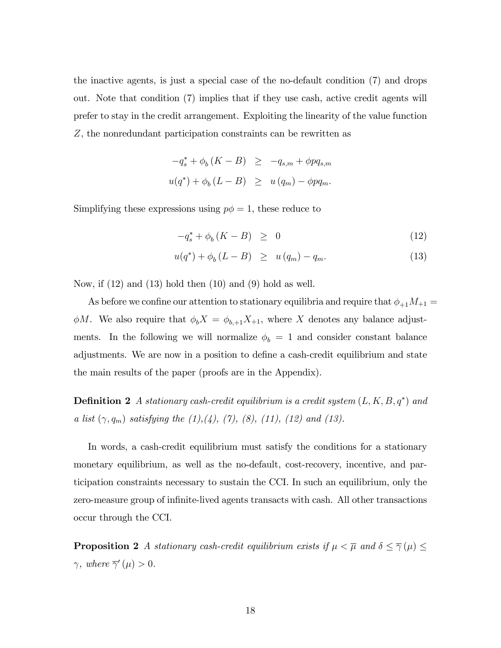the inactive agents, is just a special case of the no-default condition (7) and drops out. Note that condition (7) implies that if they use cash, active credit agents will prefer to stay in the credit arrangement. Exploiting the linearity of the value function Z, the nonredundant participation constraints can be rewritten as

$$
-q_s^* + \phi_b (K - B) \ge -q_{s,m} + \phi p q_{s,m}
$$
  

$$
u(q^*) + \phi_b (L - B) \ge u (q_m) - \phi p q_m.
$$

Simplifying these expressions using  $p\phi = 1$ , these reduce to

$$
-q_s^* + \phi_b(K - B) \geq 0 \tag{12}
$$

$$
u(q^*) + \phi_b (L - B) \geq u(q_m) - q_m. \tag{13}
$$

Now, if  $(12)$  and  $(13)$  hold then  $(10)$  and  $(9)$  hold as well.

As before we confine our attention to stationary equilibria and require that  $\phi_{+1}M_{+1} =$  $\phi M$ . We also require that  $\phi_b X = \phi_{b,+1} X_{+1}$ , where X denotes any balance adjustments. In the following we will normalize  $\phi_b = 1$  and consider constant balance adjustments. We are now in a position to define a cash-credit equilibrium and state the main results of the paper (proofs are in the Appendix).

**Definition 2** A stationary cash-credit equilibrium is a credit system  $(L, K, B, q^*)$  and a list  $(\gamma, q_m)$  satisfying the  $(1), (4), (7), (8), (11), (12)$  and  $(13)$ .

In words, a cash-credit equilibrium must satisfy the conditions for a stationary monetary equilibrium, as well as the no-default, cost-recovery, incentive, and participation constraints necessary to sustain the CCI. In such an equilibrium, only the zero-measure group of infinite-lived agents transacts with cash. All other transactions occur through the CCI.

**Proposition 2** A stationary cash-credit equilibrium exists if  $\mu < \overline{\mu}$  and  $\delta \leq \overline{\gamma}(\mu) \leq$  $\gamma$ , where  $\overline{\gamma}'(\mu) > 0$ .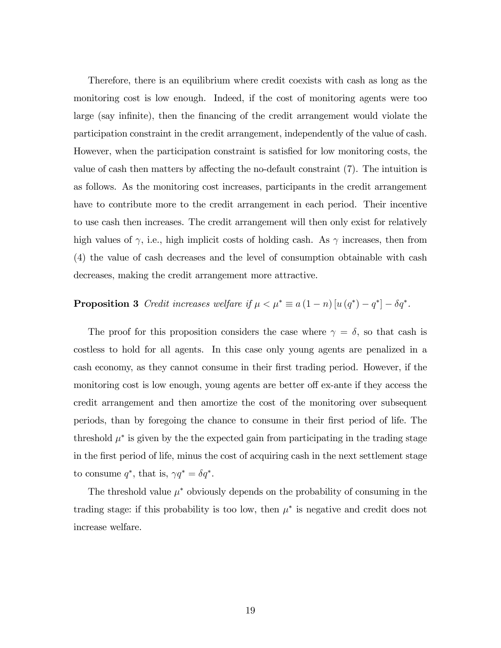Therefore, there is an equilibrium where credit coexists with cash as long as the monitoring cost is low enough. Indeed, if the cost of monitoring agents were too large (say infinite), then the financing of the credit arrangement would violate the participation constraint in the credit arrangement, independently of the value of cash. However, when the participation constraint is satisfied for low monitoring costs, the value of cash then matters by affecting the no-default constraint  $(7)$ . The intuition is as follows. As the monitoring cost increases, participants in the credit arrangement have to contribute more to the credit arrangement in each period. Their incentive to use cash then increases. The credit arrangement will then only exist for relatively high values of  $\gamma$ , i.e., high implicit costs of holding cash. As  $\gamma$  increases, then from (4) the value of cash decreases and the level of consumption obtainable with cash decreases, making the credit arrangement more attractive.

## **Proposition 3** Credit increases welfare if  $\mu < \mu^* \equiv a(1-n)[u(q^*)-q^*]-\delta q^*$ .

The proof for this proposition considers the case where  $\gamma = \delta$ , so that cash is costless to hold for all agents. In this case only young agents are penalized in a cash economy, as they cannot consume in their first trading period. However, if the monitoring cost is low enough, young agents are better of ex-ante if they access the credit arrangement and then amortize the cost of the monitoring over subsequent periods, than by foregoing the chance to consume in their Örst period of life. The threshold  $\mu^*$  is given by the the expected gain from participating in the trading stage in the Örst period of life, minus the cost of acquiring cash in the next settlement stage to consume  $q^*$ , that is,  $\gamma q^* = \delta q^*$ .

The threshold value  $\mu^*$  obviously depends on the probability of consuming in the trading stage: if this probability is too low, then  $\mu^*$  is negative and credit does not increase welfare.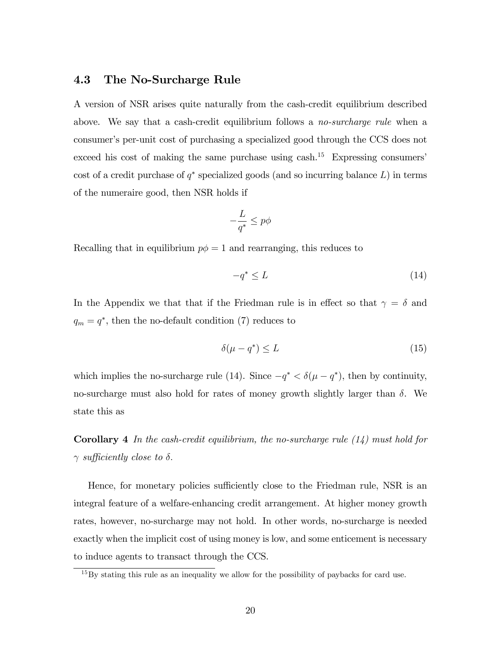#### 4.3 The No-Surcharge Rule

A version of NSR arises quite naturally from the cash-credit equilibrium described above. We say that a cash-credit equilibrium follows a *no-surcharge rule* when a consumer's per-unit cost of purchasing a specialized good through the CCS does not exceed his cost of making the same purchase using cash.<sup>15</sup> Expressing consumers' cost of a credit purchase of  $q^*$  specialized goods (and so incurring balance  $L$ ) in terms of the numeraire good, then NSR holds if

$$
-\frac{L}{q^*} \leq p\phi
$$

Recalling that in equilibrium  $p\phi = 1$  and rearranging, this reduces to

$$
-q^* \le L \tag{14}
$$

In the Appendix we that that if the Friedman rule is in effect so that  $\gamma = \delta$  and  $q_m = q^*$ , then the no-default condition (7) reduces to

$$
\delta(\mu - q^*) \le L \tag{15}
$$

which implies the no-surcharge rule (14). Since  $-q^* < \delta(\mu - q^*)$ , then by continuity, no-surcharge must also hold for rates of money growth slightly larger than  $\delta$ . We state this as

**Corollary 4** In the cash-credit equilibrium, the no-surcharge rule  $(14)$  must hold for  $\gamma$  sufficiently close to  $\delta$ .

Hence, for monetary policies sufficiently close to the Friedman rule, NSR is an integral feature of a welfare-enhancing credit arrangement. At higher money growth rates, however, no-surcharge may not hold. In other words, no-surcharge is needed exactly when the implicit cost of using money is low, and some enticement is necessary to induce agents to transact through the CCS.

<sup>&</sup>lt;sup>15</sup>By stating this rule as an inequality we allow for the possibility of paybacks for card use.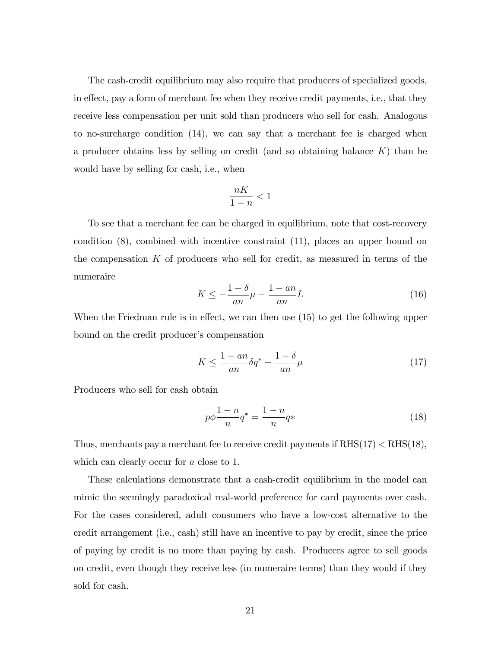The cash-credit equilibrium may also require that producers of specialized goods, in effect, pay a form of merchant fee when they receive credit payments, i.e., that they receive less compensation per unit sold than producers who sell for cash. Analogous to no-surcharge condition (14), we can say that a merchant fee is charged when a producer obtains less by selling on credit (and so obtaining balance  $K$ ) than he would have by selling for cash, i.e., when

$$
\frac{nK}{1-n} < 1
$$

To see that a merchant fee can be charged in equilibrium, note that cost-recovery condition (8), combined with incentive constraint (11), places an upper bound on the compensation K of producers who sell for credit, as measured in terms of the numeraire

$$
K \le -\frac{1-\delta}{an}\mu - \frac{1-an}{an}L\tag{16}
$$

When the Friedman rule is in effect, we can then use  $(15)$  to get the following upper bound on the credit producer's compensation

$$
K \le \frac{1 - an}{an} \delta q^* - \frac{1 - \delta}{an} \mu \tag{17}
$$

Producers who sell for cash obtain

$$
p\phi \frac{1-n}{n}q^* = \frac{1-n}{n}q^*
$$
\n<sup>(18)</sup>

Thus, merchants pay a merchant fee to receive credit payments if  $RHS(17) < RHS(18)$ , which can clearly occur for a close to 1.

These calculations demonstrate that a cash-credit equilibrium in the model can mimic the seemingly paradoxical real-world preference for card payments over cash. For the cases considered, adult consumers who have a low-cost alternative to the credit arrangement (i.e., cash) still have an incentive to pay by credit, since the price of paying by credit is no more than paying by cash. Producers agree to sell goods on credit, even though they receive less (in numeraire terms) than they would if they sold for cash.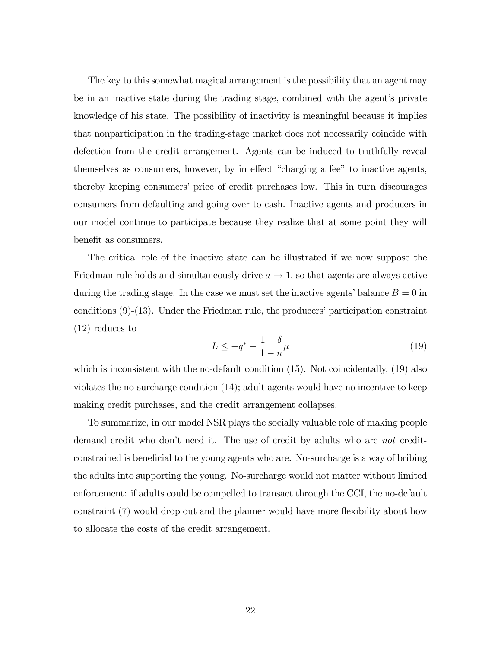The key to this somewhat magical arrangement is the possibility that an agent may be in an inactive state during the trading stage, combined with the agent's private knowledge of his state. The possibility of inactivity is meaningful because it implies that nonparticipation in the trading-stage market does not necessarily coincide with defection from the credit arrangement. Agents can be induced to truthfully reveal themselves as consumers, however, by in effect "charging a fee" to inactive agents, thereby keeping consumers' price of credit purchases low. This in turn discourages consumers from defaulting and going over to cash. Inactive agents and producers in our model continue to participate because they realize that at some point they will benefit as consumers.

The critical role of the inactive state can be illustrated if we now suppose the Friedman rule holds and simultaneously drive  $a \to 1$ , so that agents are always active during the trading stage. In the case we must set the inactive agents' balance  $B = 0$  in conditions  $(9)-(13)$ . Under the Friedman rule, the producers' participation constraint (12) reduces to

$$
L \le -q^* - \frac{1 - \delta}{1 - n}\mu
$$
\n(19)

which is inconsistent with the no-default condition (15). Not coincidentally, (19) also violates the no-surcharge condition (14); adult agents would have no incentive to keep making credit purchases, and the credit arrangement collapses.

To summarize, in our model NSR plays the socially valuable role of making people demand credit who don't need it. The use of credit by adults who are not creditconstrained is beneficial to the young agents who are. No-surcharge is a way of bribing the adults into supporting the young. No-surcharge would not matter without limited enforcement: if adults could be compelled to transact through the CCI, the no-default constraint (7) would drop out and the planner would have more flexibility about how to allocate the costs of the credit arrangement.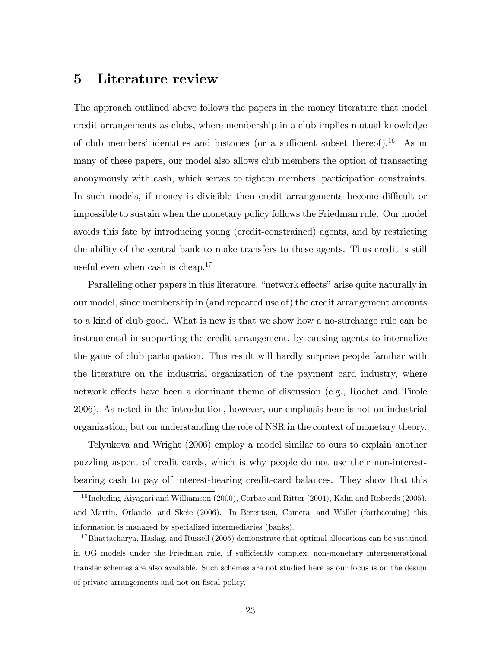## 5 Literature review

The approach outlined above follows the papers in the money literature that model credit arrangements as clubs, where membership in a club implies mutual knowledge of club members' identities and histories (or a sufficient subset thereof).<sup>16</sup> As in many of these papers, our model also allows club members the option of transacting anonymously with cash, which serves to tighten members' participation constraints. In such models, if money is divisible then credit arrangements become difficult or impossible to sustain when the monetary policy follows the Friedman rule. Our model avoids this fate by introducing young (credit-constrained) agents, and by restricting the ability of the central bank to make transfers to these agents. Thus credit is still useful even when cash is cheap.<sup>17</sup>

Paralleling other papers in this literature, "network effects" arise quite naturally in our model, since membership in (and repeated use of) the credit arrangement amounts to a kind of club good. What is new is that we show how a no-surcharge rule can be instrumental in supporting the credit arrangement, by causing agents to internalize the gains of club participation. This result will hardly surprise people familiar with the literature on the industrial organization of the payment card industry, where network effects have been a dominant theme of discussion (e.g., Rochet and Tirole 2006). As noted in the introduction, however, our emphasis here is not on industrial organization, but on understanding the role of NSR in the context of monetary theory.

Telyukova and Wright (2006) employ a model similar to ours to explain another puzzling aspect of credit cards, which is why people do not use their non-interestbearing cash to pay off interest-bearing credit-card balances. They show that this

<sup>&</sup>lt;sup>16</sup> Including Aiyagari and Williamson (2000), Corbae and Ritter (2004), Kahn and Roberds (2005), and Martin, Orlando, and Skeie (2006). In Berentsen, Camera, and Waller (forthcoming) this information is managed by specialized intermediaries (banks).

<sup>&</sup>lt;sup>17</sup>Bhattacharya, Haslag, and Russell (2005) demonstrate that optimal allocations can be sustained in OG models under the Friedman rule, if sufficiently complex, non-monetary intergenerational transfer schemes are also available. Such schemes are not studied here as our focus is on the design of private arrangements and not on fiscal policy.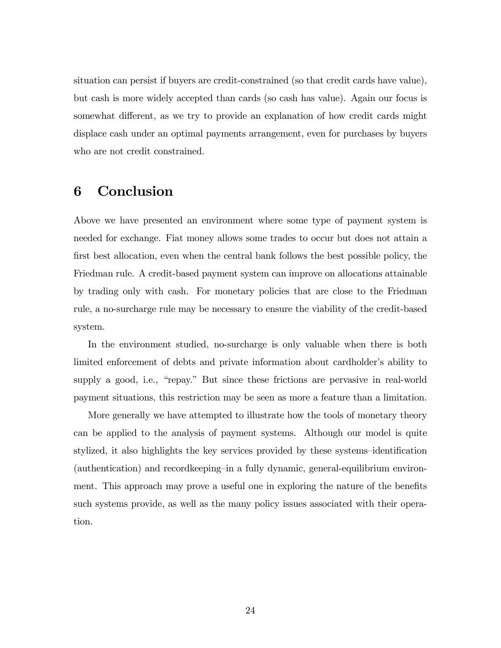situation can persist if buyers are credit-constrained (so that credit cards have value), but cash is more widely accepted than cards (so cash has value). Again our focus is somewhat different, as we try to provide an explanation of how credit cards might displace cash under an optimal payments arrangement, even for purchases by buyers who are not credit constrained.

## 6 Conclusion

Above we have presented an environment where some type of payment system is needed for exchange. Fiat money allows some trades to occur but does not attain a first best allocation, even when the central bank follows the best possible policy, the Friedman rule. A credit-based payment system can improve on allocations attainable by trading only with cash. For monetary policies that are close to the Friedman rule, a no-surcharge rule may be necessary to ensure the viability of the credit-based system.

In the environment studied, no-surcharge is only valuable when there is both limited enforcement of debts and private information about cardholder's ability to supply a good, i.e., "repay." But since these frictions are pervasive in real-world payment situations, this restriction may be seen as more a feature than a limitation.

More generally we have attempted to illustrate how the tools of monetary theory can be applied to the analysis of payment systems. Although our model is quite stylized, it also highlights the key services provided by these systems-identification  $(authentication)$  and record keeping in a fully dynamic, general-equilibrium environment. This approach may prove a useful one in exploring the nature of the benefits such systems provide, as well as the many policy issues associated with their operation.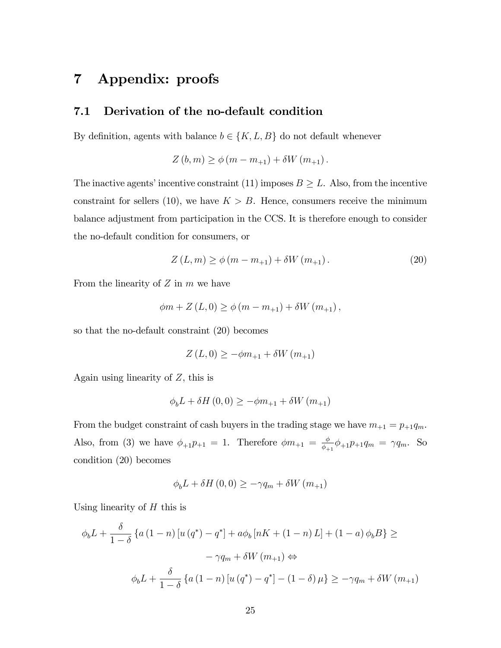## 7 Appendix: proofs

#### 7.1 Derivation of the no-default condition

By definition, agents with balance  $b \in \{K, L, B\}$  do not default whenever

 $Z(b, m) \ge \phi(m - m_{+1}) + \delta W(m_{+1}).$ 

The inactive agents' incentive constraint (11) imposes  $B \geq L$ . Also, from the incentive constraint for sellers (10), we have  $K > B$ . Hence, consumers receive the minimum balance adjustment from participation in the CCS. It is therefore enough to consider the no-default condition for consumers, or

$$
Z(L, m) \ge \phi(m - m_{+1}) + \delta W(m_{+1}). \tag{20}
$$

From the linearity of  $Z$  in  $m$  we have

$$
\phi m + Z(L, 0) \ge \phi (m - m_{+1}) + \delta W (m_{+1}),
$$

so that the no-default constraint (20) becomes

$$
Z(L,0) \geq -\phi m_{+1} + \delta W(m_{+1})
$$

Again using linearity of  $Z$ , this is

$$
\phi_b L + \delta H(0,0) \ge -\phi m_{+1} + \delta W(m_{+1})
$$

From the budget constraint of cash buyers in the trading stage we have  $m_{+1} = p_{+1}q_m$ . Also, from (3) we have  $\phi_{+1}p_{+1} = 1$ . Therefore  $\phi m_{+1} = \frac{\phi}{\phi_{+}}$  $\frac{\phi}{\phi_{+1}}\phi_{+1}p_{+1}q_m = \gamma q_m$ . So condition (20) becomes

$$
\phi_b L + \delta H(0,0) \ge -\gamma q_m + \delta W(m_{+1})
$$

Using linearity of  $H$  this is

$$
\phi_b L + \frac{\delta}{1 - \delta} \left\{ a \left( 1 - n \right) \left[ u \left( q^* \right) - q^* \right] + a \phi_b \left[ nK + \left( 1 - n \right) L \right] + \left( 1 - a \right) \phi_b B \right\} \ge
$$
  

$$
- \gamma q_m + \delta W \left( m_{+1} \right) \Leftrightarrow
$$
  

$$
\phi_b L + \frac{\delta}{1 - \delta} \left\{ a \left( 1 - n \right) \left[ u \left( q^* \right) - q^* \right] - \left( 1 - \delta \right) \mu \right\} \ge -\gamma q_m + \delta W \left( m_{+1} \right)
$$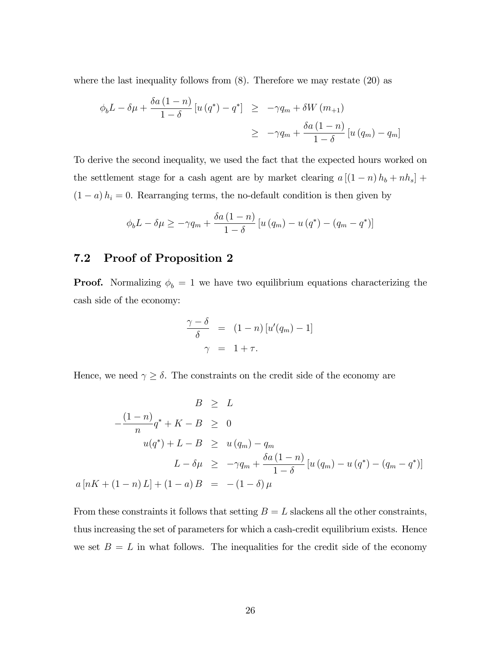where the last inequality follows from  $(8)$ . Therefore we may restate  $(20)$  as

$$
\begin{aligned}\n\phi_b L - \delta \mu + \frac{\delta a (1 - n)}{1 - \delta} \left[ u \left( q^* \right) - q^* \right] &\geq -\gamma q_m + \delta W \left( m_{+1} \right) \\
&\geq -\gamma q_m + \frac{\delta a (1 - n)}{1 - \delta} \left[ u \left( q_m \right) - q_m \right]\n\end{aligned}
$$

To derive the second inequality, we used the fact that the expected hours worked on the settlement stage for a cash agent are by market clearing  $a [(1 - n) h_b + nh_s] +$  $(1 - a) h_i = 0$ . Rearranging terms, the no-default condition is then given by

$$
\phi_b L - \delta \mu \ge -\gamma q_m + \frac{\delta a \left(1 - n\right)}{1 - \delta} \left[ u \left( q_m \right) - u \left( q^* \right) - \left( q_m - q^* \right) \right]
$$

#### 7.2 Proof of Proposition 2

**Proof.** Normalizing  $\phi_b = 1$  we have two equilibrium equations characterizing the cash side of the economy:

$$
\frac{\gamma - \delta}{\delta} = (1 - n) [u'(q_m) - 1]
$$

$$
\gamma = 1 + \tau.
$$

Hence, we need  $\gamma \geq \delta$ . The constraints on the credit side of the economy are

$$
B \geq L
$$
  
\n
$$
-\frac{(1-n)}{n}q^* + K - B \geq 0
$$
  
\n
$$
u(q^*) + L - B \geq u(q_m) - q_m
$$
  
\n
$$
L - \delta \mu \geq -\gamma q_m + \frac{\delta a(1-n)}{1-\delta} [u(q_m) - u(q^*) - (q_m - q^*)]
$$
  
\n
$$
a [nK + (1-n)L] + (1-a)B = -(1-\delta)\mu
$$

From these constraints it follows that setting  $B = L$  slackens all the other constraints, thus increasing the set of parameters for which a cash-credit equilibrium exists. Hence we set  $B = L$  in what follows. The inequalities for the credit side of the economy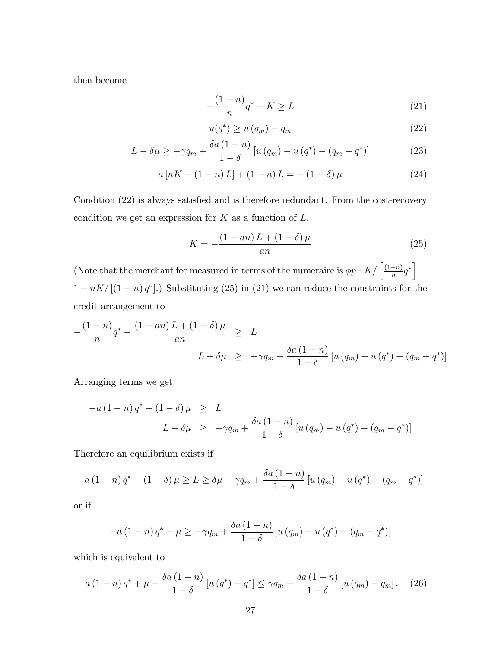then become

$$
-\frac{(1-n)}{n}q^* + K \ge L\tag{21}
$$

$$
u(q^*) \ge u(q_m) - q_m \tag{22}
$$

$$
L - \delta \mu \ge -\gamma q_m + \frac{\delta a \left(1 - n\right)}{1 - \delta} \left[ u \left( q_m \right) - u \left( q^* \right) - \left( q_m - q^* \right) \right] \tag{23}
$$

$$
a[nK + (1 - n)L] + (1 - a)L = -(1 - \delta)\mu \tag{24}
$$

Condition  $(22)$  is always satisfied and is therefore redundant. From the cost-recovery condition we get an expression for  $K$  as a function of  $L$ .

$$
K = -\frac{(1 - an)L + (1 - \delta)\mu}{an} \tag{25}
$$

(Note that the merchant fee measured in terms of the numeraire is  $\phi p - K / \left[ \frac{(1-n)}{n} q^* \right] =$  $1 - nK/[(1 - n) q^*]$ .) Substituting (25) in (21) we can reduce the constraints for the credit arrangement to

$$
-\frac{(1-n)}{n}q^* - \frac{(1-an)L + (1 - \delta)\mu}{an} \ge L
$$
  

$$
L - \delta\mu \ge -\gamma q_m + \frac{\delta a(1-n)}{1-\delta} [u (q_m) - u (q^*) - (q_m - q^*)]
$$

Arranging terms we get

$$
-a(1-n) q^* - (1 - \delta) \mu \geq L
$$
  

$$
L - \delta \mu \geq -\gamma q_m + \frac{\delta a (1-n)}{1-\delta} [u (q_m) - u (q^*) - (q_m - q^*)]
$$

Therefore an equilibrium exists if

$$
-a(1-n) q^* - (1 - \delta) \mu \ge L \ge \delta \mu - \gamma q_m + \frac{\delta a (1-n)}{1-\delta} [u (q_m) - u (q^*) - (q_m - q^*)]
$$

or if

$$
-a(1-n) q^* - \mu \ge -\gamma q_m + \frac{\delta a (1-n)}{1-\delta} [u (q_m) - u (q^*) - (q_m - q^*)]
$$

which is equivalent to

$$
a(1-n) q^* + \mu - \frac{\delta a(1-n)}{1-\delta} \left[ u(q^*) - q^* \right] \leq \gamma q_m - \frac{\delta a(1-n)}{1-\delta} \left[ u(q_m) - q_m \right]. \tag{26}
$$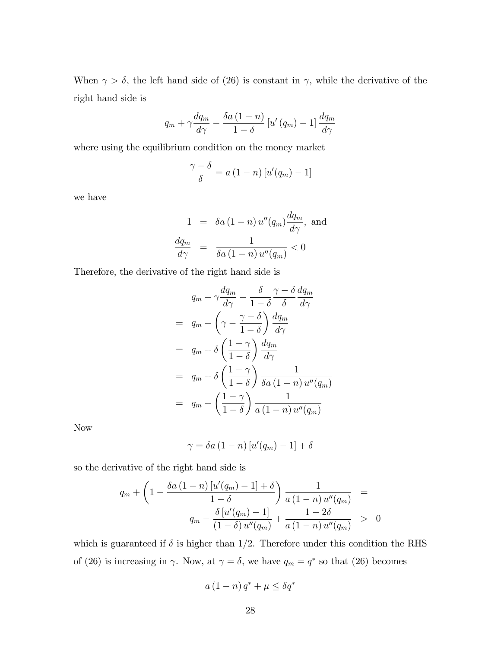When  $\gamma > \delta$ , the left hand side of (26) is constant in  $\gamma$ , while the derivative of the right hand side is

$$
q_{m} + \gamma \frac{dq_{m}}{d\gamma} - \frac{\delta a\left(1-n\right)}{1-\delta} \left[u'\left(q_{m}\right) - 1\right] \frac{dq_{m}}{d\gamma}
$$

where using the equilibrium condition on the money market

$$
\frac{\gamma - \delta}{\delta} = a (1 - n) [u'(q_m) - 1]
$$

we have

$$
1 = \delta a (1 - n) u''(q_m) \frac{dq_m}{d\gamma}, \text{ and}
$$

$$
\frac{dq_m}{d\gamma} = \frac{1}{\delta a (1 - n) u''(q_m)} < 0
$$

Therefore, the derivative of the right hand side is

$$
q_m + \gamma \frac{dq_m}{d\gamma} - \frac{\delta}{1 - \delta} \frac{\gamma - \delta}{\delta} \frac{dq_m}{d\gamma}
$$
  
= 
$$
q_m + \left(\gamma - \frac{\gamma - \delta}{1 - \delta}\right) \frac{dq_m}{d\gamma}
$$
  
= 
$$
q_m + \delta \left(\frac{1 - \gamma}{1 - \delta}\right) \frac{dq_m}{d\gamma}
$$
  
= 
$$
q_m + \delta \left(\frac{1 - \gamma}{1 - \delta}\right) \frac{1}{\delta a \left(1 - n\right) u''(q_m)}
$$
  
= 
$$
q_m + \left(\frac{1 - \gamma}{1 - \delta}\right) \frac{1}{a \left(1 - n\right) u''(q_m)}
$$

Now

$$
\gamma = \delta a (1 - n) [u'(q_m) - 1] + \delta
$$

so the derivative of the right hand side is

$$
q_m + \left(1 - \frac{\delta a (1-n) [u'(q_m) - 1] + \delta}{1 - \delta} \right) \frac{1}{a (1-n) u''(q_m)} =
$$
  

$$
q_m - \frac{\delta [u'(q_m) - 1]}{(1 - \delta) u''(q_m)} + \frac{1 - 2\delta}{a (1-n) u''(q_m)} > 0
$$

which is guaranteed if  $\delta$  is higher than 1/2. Therefore under this condition the RHS of (26) is increasing in  $\gamma$ . Now, at  $\gamma = \delta$ , we have  $q_m = q^*$  so that (26) becomes

$$
a(1-n)q^* + \mu \le \delta q^*
$$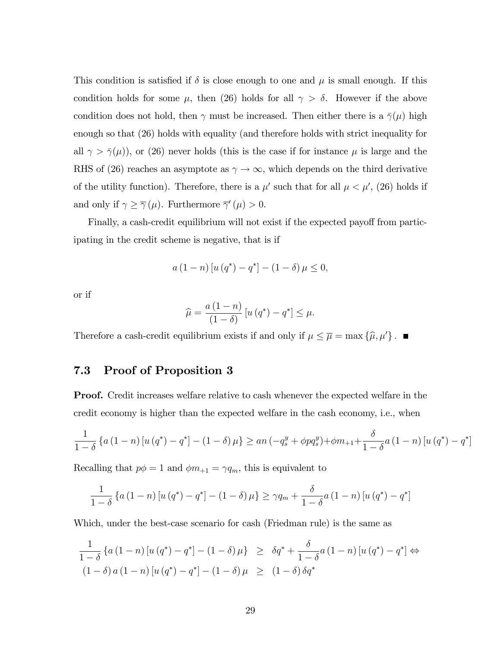This condition is satisfied if  $\delta$  is close enough to one and  $\mu$  is small enough. If this condition holds for some  $\mu$ , then (26) holds for all  $\gamma > \delta$ . However if the above condition does not hold, then  $\gamma$  must be increased. Then either there is a  $\bar{\gamma}(\mu)$  high enough so that (26) holds with equality (and therefore holds with strict inequality for all  $\gamma > \bar{\gamma}(\mu)$ , or (26) never holds (this is the case if for instance  $\mu$  is large and the RHS of (26) reaches an asymptote as  $\gamma \to \infty$ , which depends on the third derivative of the utility function). Therefore, there is a  $\mu'$  such that for all  $\mu < \mu'$ , (26) holds if and only if  $\gamma \geq \overline{\gamma}(\mu)$ . Furthermore  $\overline{\gamma}'(\mu) > 0$ .

Finally, a cash-credit equilibrium will not exist if the expected payoff from participating in the credit scheme is negative, that is if

$$
a(1-n) [u (q^*) - q^*] - (1 - \delta) \mu \leq 0,
$$

or if

$$
\widehat{\mu} = \frac{a(1-n)}{(1-\delta)} \left[ u\left(q^*\right) - q^* \right] \leq \mu.
$$

Therefore a cash-credit equilibrium exists if and only if  $\mu \leq \overline{\mu} = \max \{\hat{\mu}, \mu'\}$ .

#### 7.3 Proof of Proposition 3

Proof. Credit increases welfare relative to cash whenever the expected welfare in the credit economy is higher than the expected welfare in the cash economy, i.e., when

$$
\frac{1}{1-\delta} \left\{ a \left( 1-n \right) \left[ u \left( q^* \right) - q^* \right] - \left( 1-\delta \right) \mu \right\} \ge a n \left( -q_s^y + \phi p q_s^y \right) + \phi m_{+1} + \frac{\delta}{1-\delta} a \left( 1-n \right) \left[ u \left( q^* \right) - q^* \right]
$$

Recalling that  $p\phi = 1$  and  $\phi m_{+1} = \gamma q_m$ , this is equivalent to

$$
\frac{1}{1-\delta}\left\{a\left(1-n\right)\left[u\left(q^*\right)-q^*\right]-\left(1-\delta\right)\mu\right\}\geq \gamma q_m+\frac{\delta}{1-\delta}a\left(1-n\right)\left[u\left(q^*\right)-q^*\right]
$$

Which, under the best-case scenario for cash (Friedman rule) is the same as

$$
\frac{1}{1-\delta} \left\{ a \left( 1-n \right) \left[ u \left( q^* \right) - q^* \right] - \left( 1-\delta \right) \mu \right\} \ge \delta q^* + \frac{\delta}{1-\delta} a \left( 1-n \right) \left[ u \left( q^* \right) - q^* \right] \Leftrightarrow
$$
\n
$$
\left( 1-\delta \right) a \left( 1-n \right) \left[ u \left( q^* \right) - q^* \right] - \left( 1-\delta \right) \mu \ge \left( 1-\delta \right) \delta q^*
$$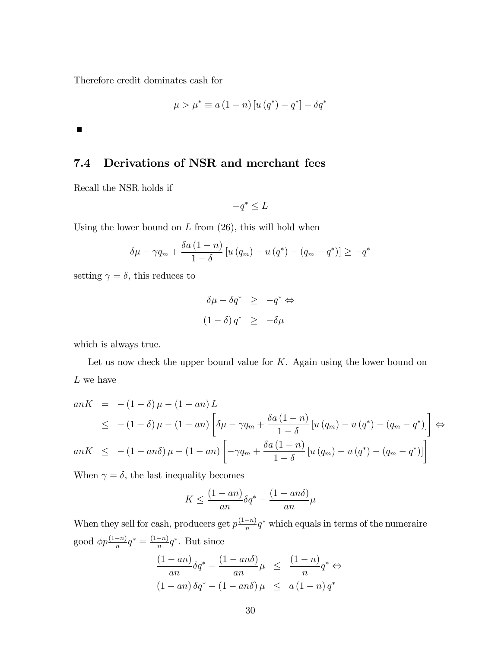Therefore credit dominates cash for

$$
\mu > \mu^* \equiv a\left(1 - n\right) \left[ u\left(q^*\right) - q^* \right] - \delta q^*
$$

 $\blacksquare$ 

#### 7.4 Derivations of NSR and merchant fees

Recall the NSR holds if

$$
-q^* \leq L
$$

Using the lower bound on  $L$  from  $(26)$ , this will hold when

$$
\delta\mu - \gamma q_m + \frac{\delta a \left(1 - n\right)}{1 - \delta} \left[ u \left( q_m \right) - u \left( q^* \right) - \left( q_m - q^* \right) \right] \geq -q^*
$$

setting  $\gamma = \delta$ , this reduces to

$$
\delta \mu - \delta q^* \ge -q^* \Leftrightarrow
$$
  

$$
(1 - \delta) q^* \ge -\delta \mu
$$

which is always true.

Let us now check the upper bound value for  $K$ . Again using the lower bound on  $L$  we have

$$
anK = -(1 - \delta) \mu - (1 - an) L
$$
  
\n
$$
\leq -(1 - \delta) \mu - (1 - an) \left[ \delta \mu - \gamma q_m + \frac{\delta a (1 - n)}{1 - \delta} \left[ u (q_m) - u (q^*) - (q_m - q^*) \right] \right] \Leftrightarrow
$$
  
\n
$$
anK \leq -(1 - an\delta) \mu - (1 - an) \left[ -\gamma q_m + \frac{\delta a (1 - n)}{1 - \delta} \left[ u (q_m) - u (q^*) - (q_m - q^*) \right] \right]
$$

When  $\gamma = \delta$ , the last inequality becomes

$$
K \le \frac{(1 - an)}{an} \delta q^* - \frac{(1 - an\delta)}{an} \mu
$$

When they sell for cash, producers get  $p\frac{(1-n)}{n}q^*$  which equals in terms of the numeraire good  $\phi p \frac{(1-n)}{n} q^* = \frac{(1-n)}{n} q^*$ . But since

$$
\frac{(1 - an)}{an} \delta q^* - \frac{(1 - an\delta)}{an} \mu \le \frac{(1 - n)}{n} q^* \Leftrightarrow
$$
  

$$
(1 - an) \delta q^* - (1 - an\delta) \mu \le a (1 - n) q^*
$$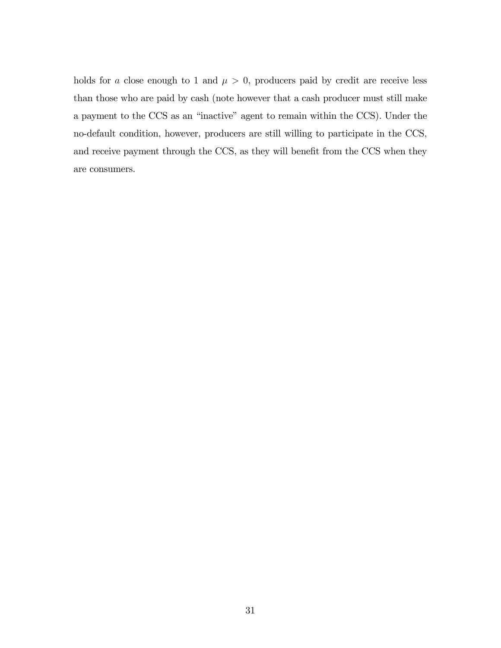holds for a close enough to 1 and  $\mu > 0$ , producers paid by credit are receive less than those who are paid by cash (note however that a cash producer must still make a payment to the CCS as an "inactive" agent to remain within the CCS). Under the no-default condition, however, producers are still willing to participate in the CCS, and receive payment through the CCS, as they will benefit from the CCS when they are consumers.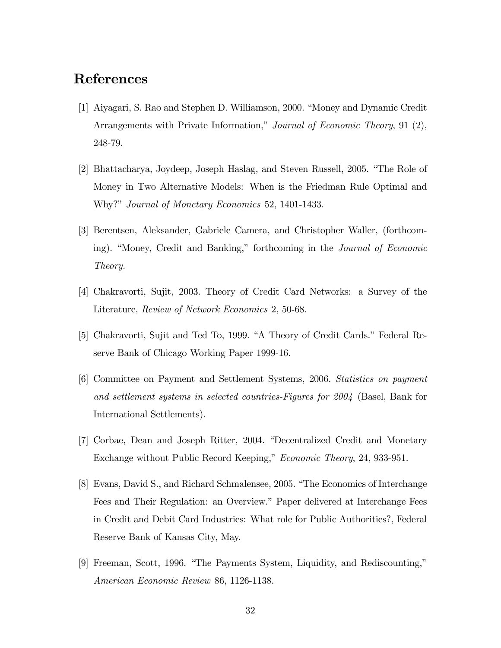## References

- [1] Aiyagari, S. Rao and Stephen D. Williamson, 2000. "Money and Dynamic Credit" Arrangements with Private Information," Journal of Economic Theory, 91 (2), 248-79.
- [2] Bhattacharya, Joydeep, Joseph Haslag, and Steven Russell, 2005. "The Role of Money in Two Alternative Models: When is the Friedman Rule Optimal and Why?" *Journal of Monetary Economics* 52, 1401-1433.
- [3] Berentsen, Aleksander, Gabriele Camera, and Christopher Waller, (forthcoming). "Money, Credit and Banking," forthcoming in the *Journal of Economic* Theory.
- [4] Chakravorti, Sujit, 2003. Theory of Credit Card Networks: a Survey of the Literature, Review of Network Economics 2, 50-68.
- [5] Chakravorti, Sujit and Ted To, 1999. "A Theory of Credit Cards." Federal Reserve Bank of Chicago Working Paper 1999-16.
- [6] Committee on Payment and Settlement Systems, 2006. Statistics on payment and settlement systems in selected countries-Figures for 2004 (Basel, Bank for International Settlements).
- [7] Corbae, Dean and Joseph Ritter, 2004. "Decentralized Credit and Monetary Exchange without Public Record Keeping," Economic Theory, 24, 933-951.
- [8] Evans, David S., and Richard Schmalensee, 2005. "The Economics of Interchange Fees and Their Regulation: an Overview." Paper delivered at Interchange Fees in Credit and Debit Card Industries: What role for Public Authorities?, Federal Reserve Bank of Kansas City, May.
- [9] Freeman, Scott, 1996. "The Payments System, Liquidity, and Rediscounting," American Economic Review 86, 1126-1138.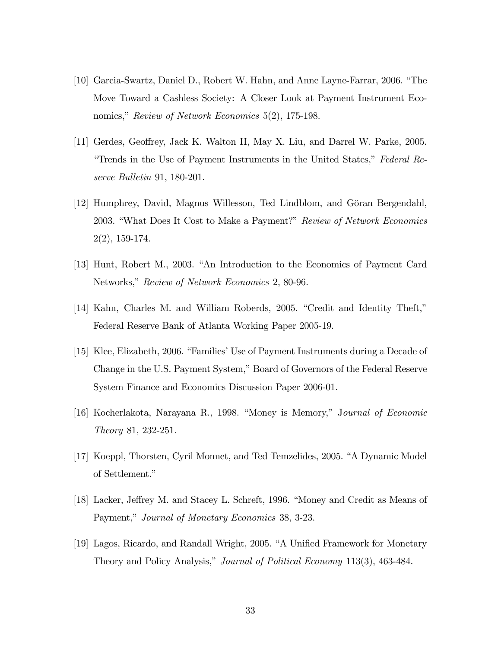- [10] Garcia-Swartz, Daniel D., Robert W. Hahn, and Anne Layne-Farrar, 2006. "The Move Toward a Cashless Society: A Closer Look at Payment Instrument Economics," Review of Network Economics 5(2), 175-198.
- [11] Gerdes, Geoffrey, Jack K. Walton II, May X. Liu, and Darrel W. Parke, 2005. "Trends in the Use of Payment Instruments in the United States," Federal Reserve Bulletin 91, 180-201.
- [12] Humphrey, David, Magnus Willesson, Ted Lindblom, and Göran Bergendahl, 2003. "What Does It Cost to Make a Payment?" Review of Network Economics 2(2), 159-174.
- [13] Hunt, Robert M., 2003. "An Introduction to the Economics of Payment Card Networks," Review of Network Economics 2, 80-96.
- $[14]$  Kahn, Charles M. and William Roberds, 2005. "Credit and Identity Theft," Federal Reserve Bank of Atlanta Working Paper 2005-19.
- [15] Klee, Elizabeth, 2006. "Families' Use of Payment Instruments during a Decade of Change in the U.S. Payment System," Board of Governors of the Federal Reserve System Finance and Economics Discussion Paper 2006-01.
- [16] Kocherlakota, Narayana R., 1998. "Money is Memory," Journal of Economic Theory 81, 232-251.
- [17] Koeppl, Thorsten, Cyril Monnet, and Ted Temzelides, 2005. "A Dynamic Model of Settlement."
- [18] Lacker, Jeffrey M. and Stacey L. Schreft, 1996. "Money and Credit as Means of Payment," Journal of Monetary Economics 38, 3-23.
- [19] Lagos, Ricardo, and Randall Wright, 2005. "A Unified Framework for Monetary Theory and Policy Analysis," Journal of Political Economy 113(3), 463-484.